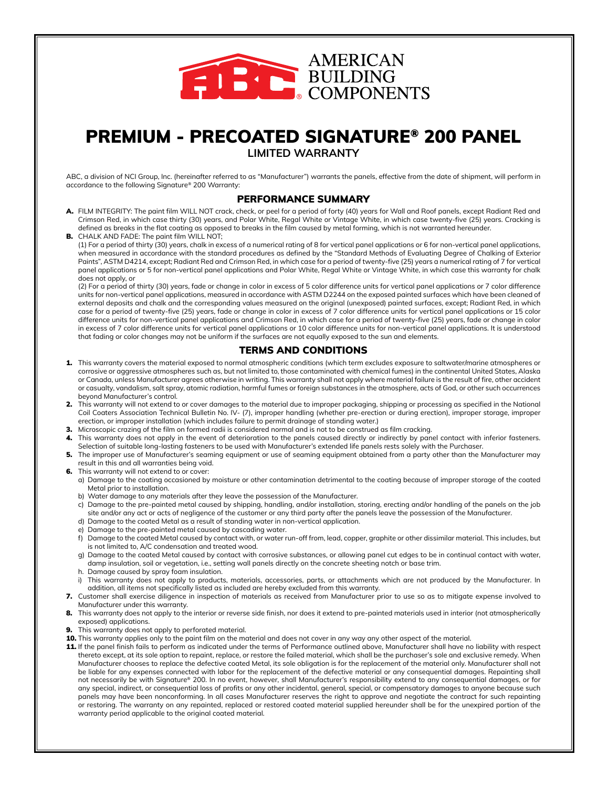

## PREMIUM - PRECOATED SIGNATURE® 200 PANEL

**LIMITED WARRANTY**

ABC, a division of NCI Group, Inc. (hereinafter referred to as "Manufacturer") warrants the panels, effective from the date of shipment, will perform in accordance to the following Signature® 200 Warranty:

### PERFORMANCE SUMMARY

A. FILM INTEGRITY: The paint film WILL NOT crack, check, or peel for a period of forty (40) years for Wall and Roof panels, except Radiant Red and Crimson Red, in which case thirty (30) years, and Polar White, Regal White or Vintage White, in which case twenty-five (25) years. Cracking is defined as breaks in the flat coating as opposed to breaks in the film caused by metal forming, which is not warranted hereunder.

B. CHALK AND FADE: The paint film WILL NOT; (1) For a period of thirty (30) years, chalk in excess of a numerical rating of 8 for vertical panel applications or 6 for non-vertical panel applications, when measured in accordance with the standard procedures as defined by the "Standard Methods of Evaluating Degree of Chalking of Exterior Paints", ASTM D4214, except; Radiant Red and Crimson Red, in which case for a period of twenty-five (25) years a numerical rating of 7 for vertical panel applications or 5 for non-vertical panel applications and Polar White, Regal White or Vintage White, in which case this warranty for chalk does not apply, or

(2) For a period of thirty (30) years, fade or change in color in excess of 5 color difference units for vertical panel applications or 7 color difference units for non-vertical panel applications, measured in accordance with ASTM D2244 on the exposed painted surfaces which have been cleaned of external deposits and chalk and the corresponding values measured on the original (unexposed) painted surfaces, except; Radiant Red, in which case for a period of twenty-five (25) years, fade or change in color in excess of 7 color difference units for vertical panel applications or 15 color difference units for non-vertical panel applications and Crimson Red, in which case for a period of twenty-five (25) years, fade or change in color in excess of 7 color difference units for vertical panel applications or 10 color difference units for non-vertical panel applications. It is understood that fading or color changes may not be uniform if the surfaces are not equally exposed to the sun and elements.

### TERMS AND CONDITIONS

- 1. This warranty covers the material exposed to normal atmospheric conditions (which term excludes exposure to saltwater/marine atmospheres or corrosive or aggressive atmospheres such as, but not limited to, those contaminated with chemical fumes) in the continental United States, Alaska or Canada, unless Manufacturer agrees otherwise in writing. This warranty shall not apply where material failure is the result of fire, other accident or casualty, vandalism, salt spray, atomic radiation, harmful fumes or foreign substances in the atmosphere, acts of God, or other such occurrences beyond Manufacturer's control.
- 2. This warranty will not extend to or cover damages to the material due to improper packaging, shipping or processing as specified in the National Coil Coaters Association Technical Bulletin No. IV- (7), improper handling (whether pre-erection or during erection), improper storage, improper erection, or improper installation (which includes failure to permit drainage of standing water.)
- 3. Microscopic crazing of the film on formed radii is considered normal and is not to be construed as film cracking.
- 4. This warranty does not apply in the event of deterioration to the panels caused directly or indirectly by panel contact with inferior fasteners. Selection of suitable long-lasting fasteners to be used with Manufacturer's extended life panels rests solely with the Purchaser.
- 5. The improper use of Manufacturer's seaming equipment or use of seaming equipment obtained from a party other than the Manufacturer may result in this and all warranties being void.
- **6.** This warranty will not extend to or cover:
	- a) Damage to the coating occasioned by moisture or other contamination detrimental to the coating because of improper storage of the coated Metal prior to installation.
	- b) Water damage to any materials after they leave the possession of the Manufacturer.
	- c) Damage to the pre-painted metal caused by shipping, handling, and/or installation, storing, erecting and/or handling of the panels on the job site and/or any act or acts of negligence of the customer or any third party after the panels leave the possession of the Manufacturer.
	- d) Damage to the coated Metal as a result of standing water in non-vertical application.
	- e) Damage to the pre-painted metal caused by cascading water.
	- f) Damage to the coated Metal caused by contact with, or water run-off from, lead, copper, graphite or other dissimilar material. This includes, but is not limited to, A/C condensation and treated wood.
	- g) Damage to the coated Metal caused by contact with corrosive substances, or allowing panel cut edges to be in continual contact with water, damp insulation, soil or vegetation, i.e., setting wall panels directly on the concrete sheeting notch or base trim.
	- h. Damage caused by spray foam insulation.
	- i) This warranty does not apply to products, materials, accessories, parts, or attachments which are not produced by the Manufacturer. In addition, all items not specifically listed as included are hereby excluded from this warranty.
- 7. Customer shall exercise diligence in inspection of materials as received from Manufacturer prior to use so as to mitigate expense involved to Manufacturer under this warranty.
- 8. This warranty does not apply to the interior or reverse side finish, nor does it extend to pre-painted materials used in interior (not atmospherically exposed) applications.
- **9.** This warranty does not apply to perforated material.
- 10. This warranty applies only to the paint film on the material and does not cover in any way any other aspect of the material.
- 11. If the panel finish fails to perform as indicated under the terms of Performance outlined above, Manufacturer shall have no liability with respect thereto except, at its sole option to repaint, replace, or restore the failed material, which shall be the purchaser's sole and exclusive remedy. When Manufacturer chooses to replace the defective coated Metal, its sole obligation is for the replacement of the material only. Manufacturer shall not be liable for any expenses connected with labor for the replacement of the defective material or any consequential damages. Repainting shall not necessarily be with Signature® 200. In no event, however, shall Manufacturer's responsibility extend to any consequential damages, or for any special, indirect, or consequential loss of profits or any other incidental, general, special, or compensatory damages to anyone because such panels may have been nonconforming. In all cases Manufacturer reserves the right to approve and negotiate the contract for such repainting or restoring. The warranty on any repainted, replaced or restored coated material supplied hereunder shall be for the unexpired portion of the warranty period applicable to the original coated material.